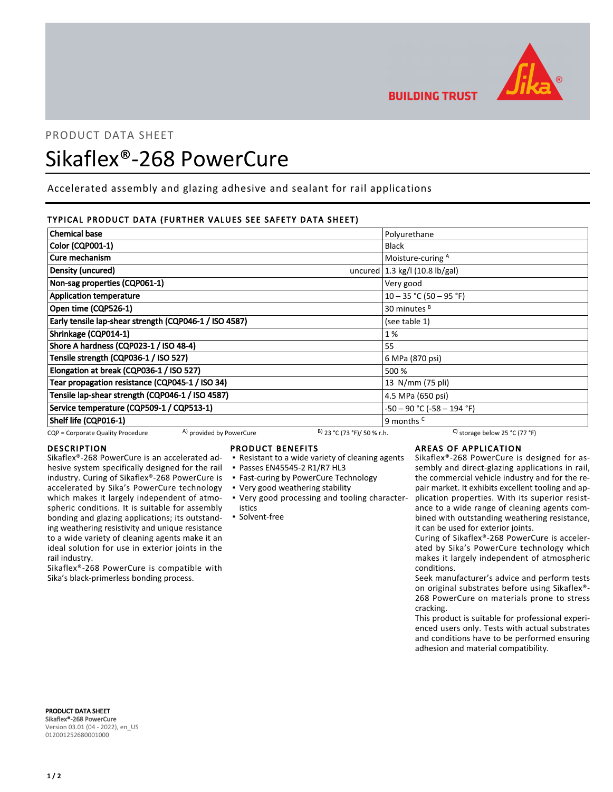

PRODUCT DATA SHEET

# Sikaflex®-268 PowerCure

Accelerated assembly and glazing adhesive and sealant for rail applications

# TYPICAL PRODUCT DATA (FURTHER VALUES SEE SAFETY DATA SHEET)

| <b>Chemical base</b>                                                    | Polyurethane                                      |  |
|-------------------------------------------------------------------------|---------------------------------------------------|--|
| Color (CQP001-1)                                                        | <b>Black</b>                                      |  |
| Cure mechanism<br>Moisture-curing A                                     |                                                   |  |
| Density (uncured)                                                       | uncured $(1.3 \text{ kg/l} (10.8 \text{ lb/gal})$ |  |
| Non-sag properties (CQP061-1)<br>Very good                              |                                                   |  |
| <b>Application temperature</b>                                          | $10 - 35$ °C (50 - 95 °F)                         |  |
| Open time (CQP526-1)                                                    | 30 minutes <sup>B</sup>                           |  |
| Early tensile lap-shear strength (CQP046-1 / ISO 4587)<br>(see table 1) |                                                   |  |
| Shrinkage (CQP014-1)<br>1 %                                             |                                                   |  |
| Shore A hardness (CQP023-1 / ISO 48-4)<br>55                            |                                                   |  |
| Tensile strength (CQP036-1 / ISO 527)                                   | 6 MPa (870 psi)                                   |  |
| Elongation at break (CQP036-1 / ISO 527)                                | 500 %                                             |  |
| Tear propagation resistance (CQP045-1 / ISO 34)                         | 13 N/mm (75 pli)                                  |  |
| Tensile lap-shear strength (CQP046-1 / ISO 4587)                        | 4.5 MPa (650 psi)                                 |  |
| Service temperature (CQP509-1 / CQP513-1)                               | $-50 - 90$ °C ( $-58 - 194$ °F)                   |  |
| Shelf life (CQP016-1)<br>9 months <sup>C</sup>                          |                                                   |  |

CQP = Corporate Quality Procedure  $\left(A\right)$  provided by PowerCure  $\left(B\right)$  23 °C (73 °F)/ 50 % r.h. C) storage below 25 °C (77 °F)

# DESCRIPTION

Sikaflex®-268 PowerCure is an accelerated adhesive system specifically designed for the rail industry. Curing of Sikaflex®-268 PowerCure is accelerated by Sika's PowerCure technology which makes it largely independent of atmospheric conditions. It is suitable for assembly bonding and glazing applications; its outstanding weathering resistivity and unique resistance to a wide variety of cleaning agents make it an ideal solution for use in exterior joints in the rail industry.

Sikaflex®-268 PowerCure is compatible with Sika's black-primerless bonding process.

#### PRODUCT BENEFITS

- Resistant to a wide variety of cleaning agents
- Passes EN45545-2 R1/R7 HL3
- **Fast-curing by PowerCure Technology**
- Very good weathering stability
- Very good processing and tooling characteristics

#### ▪ Solvent-free

# AREAS OF APPLICATION

Sikaflex®-268 PowerCure is designed for assembly and direct-glazing applications in rail, the commercial vehicle industry and for the repair market. It exhibits excellent tooling and application properties. With its superior resistance to a wide range of cleaning agents combined with outstanding weathering resistance, it can be used for exterior joints.

Curing of Sikaflex®-268 PowerCure is accelerated by Sika's PowerCure technology which makes it largely independent of atmospheric conditions.

Seek manufacturer's advice and perform tests on original substrates before using Sikaflex®- 268 PowerCure on materials prone to stress cracking.

This product is suitable for professional experienced users only. Tests with actual substrates and conditions have to be performed ensuring adhesion and material compatibility.

PRODUCT DATA SHEET Sikaflex®-268 PowerCure Version 03.01 (04 - 2022), en\_US 012001252680001000